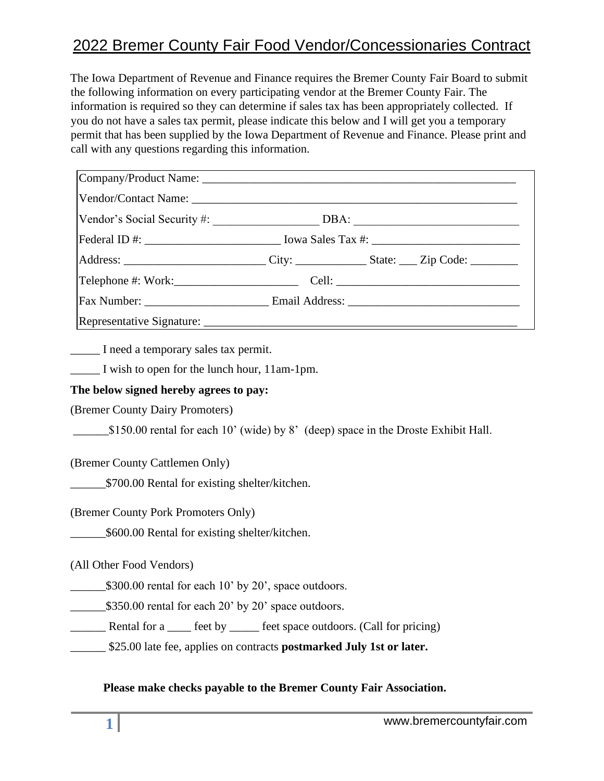## 2022 Bremer County Fair Food Vendor/Concessionaries Contract

The Iowa Department of Revenue and Finance requires the Bremer County Fair Board to submit the following information on every participating vendor at the Bremer County Fair. The information is required so they can determine if sales tax has been appropriately collected. If you do not have a sales tax permit, please indicate this below and I will get you a temporary permit that has been supplied by the Iowa Department of Revenue and Finance. Please print and call with any questions regarding this information.

| Federal ID #: __________________________________ Iowa Sales Tax #: _________________________________ |                                                                                                      |
|------------------------------------------------------------------------------------------------------|------------------------------------------------------------------------------------------------------|
|                                                                                                      | Address: _________________________________City: ____________________State: _____ Zip Code: _________ |
|                                                                                                      |                                                                                                      |
|                                                                                                      |                                                                                                      |
|                                                                                                      |                                                                                                      |

\_\_\_\_\_ I need a temporary sales tax permit.

\_\_\_\_\_ I wish to open for the lunch hour, 11am-1pm.

## **The below signed hereby agrees to pay:**

(Bremer County Dairy Promoters)

 $\_\$150.00$  rental for each 10' (wide) by 8' (deep) space in the Droste Exhibit Hall.

(Bremer County Cattlemen Only)

\_\_\_\_\_\_\$700.00 Rental for existing shelter/kitchen.

(Bremer County Pork Promoters Only)

\_\_\_\_\_\_\$600.00 Rental for existing shelter/kitchen.

(All Other Food Vendors)

\$300.00 rental for each 10' by 20', space outdoors.

\$350.00 rental for each 20' by 20' space outdoors.

\_\_\_\_\_\_ Rental for a \_\_\_\_ feet by \_\_\_\_\_ feet space outdoors. (Call for pricing)

\_\_\_\_\_\_ \$25.00 late fee, applies on contracts **postmarked July 1st or later.**

**Please make checks payable to the Bremer County Fair Association.**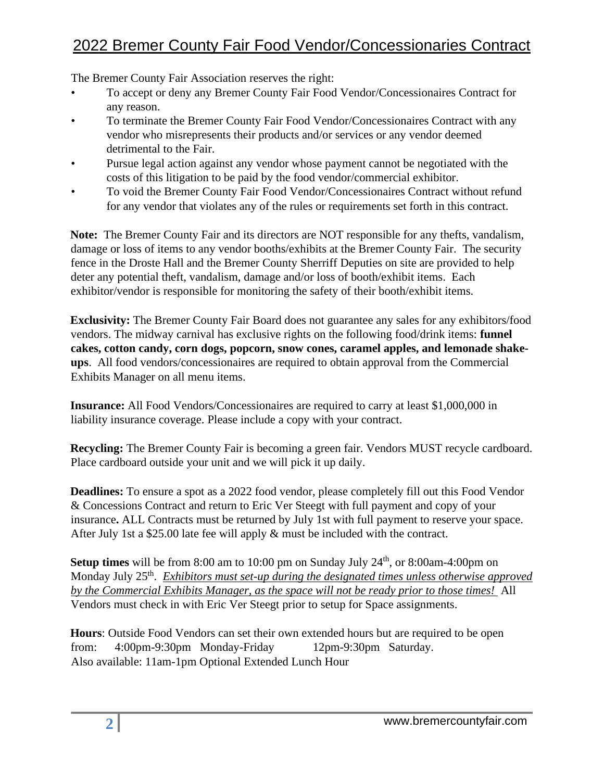## 2022 Bremer County Fair Food Vendor/Concessionaries Contract

The Bremer County Fair Association reserves the right:

- To accept or deny any Bremer County Fair Food Vendor/Concessionaires Contract for any reason.
- To terminate the Bremer County Fair Food Vendor/Concessionaires Contract with any vendor who misrepresents their products and/or services or any vendor deemed detrimental to the Fair.
- Pursue legal action against any vendor whose payment cannot be negotiated with the costs of this litigation to be paid by the food vendor/commercial exhibitor.
- To void the Bremer County Fair Food Vendor/Concessionaires Contract without refund for any vendor that violates any of the rules or requirements set forth in this contract.

**Note:** The Bremer County Fair and its directors are NOT responsible for any thefts, vandalism, damage or loss of items to any vendor booths/exhibits at the Bremer County Fair. The security fence in the Droste Hall and the Bremer County Sherriff Deputies on site are provided to help deter any potential theft, vandalism, damage and/or loss of booth/exhibit items. Each exhibitor/vendor is responsible for monitoring the safety of their booth/exhibit items.

**Exclusivity:** The Bremer County Fair Board does not guarantee any sales for any exhibitors/food vendors. The midway carnival has exclusive rights on the following food/drink items: **funnel cakes, cotton candy, corn dogs, popcorn, snow cones, caramel apples, and lemonade shakeups**. All food vendors/concessionaires are required to obtain approval from the Commercial Exhibits Manager on all menu items.

**Insurance:** All Food Vendors/Concessionaires are required to carry at least \$1,000,000 in liability insurance coverage. Please include a copy with your contract.

**Recycling:** The Bremer County Fair is becoming a green fair. Vendors MUST recycle cardboard. Place cardboard outside your unit and we will pick it up daily.

**Deadlines:** To ensure a spot as a 2022 food vendor, please completely fill out this Food Vendor & Concessions Contract and return to Eric Ver Steegt with full payment and copy of your insurance**.** ALL Contracts must be returned by July 1st with full payment to reserve your space. After July 1st a \$25.00 late fee will apply & must be included with the contract.

**Setup times** will be from 8:00 am to 10:00 pm on Sunday July 24<sup>th</sup>, or 8:00am-4:00pm on Monday July 25<sup>th</sup>. *Exhibitors must set-up during the designated times unless otherwise approved by the Commercial Exhibits Manager, as the space will not be ready prior to those times!* All Vendors must check in with Eric Ver Steegt prior to setup for Space assignments.

**Hours**: Outside Food Vendors can set their own extended hours but are required to be open from: 4:00pm-9:30pm Monday-Friday 12pm-9:30pm Saturday. Also available: 11am-1pm Optional Extended Lunch Hour